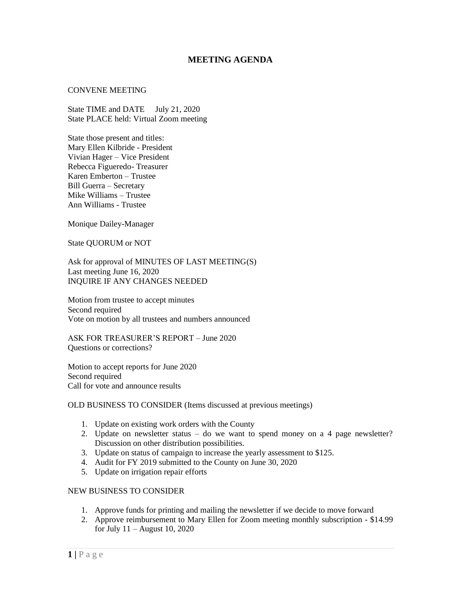## **MEETING AGENDA**

## CONVENE MEETING

State TIME and DATE July 21, 2020 State PLACE held: Virtual Zoom meeting

State those present and titles: Mary Ellen Kilbride - President Vivian Hager – Vice President Rebecca Figueredo- Treasurer Karen Emberton – Trustee Bill Guerra – Secretary Mike Williams – Trustee Ann Williams - Trustee

Monique Dailey-Manager

State QUORUM or NOT

Ask for approval of MINUTES OF LAST MEETING(S) Last meeting June 16, 2020 INQUIRE IF ANY CHANGES NEEDED

Motion from trustee to accept minutes Second required Vote on motion by all trustees and numbers announced

ASK FOR TREASURER'S REPORT – June 2020 Questions or corrections?

Motion to accept reports for June 2020 Second required Call for vote and announce results

OLD BUSINESS TO CONSIDER (Items discussed at previous meetings)

- 1. Update on existing work orders with the County
- 2. Update on newsletter status do we want to spend money on a 4 page newsletter? Discussion on other distribution possibilities.
- 3. Update on status of campaign to increase the yearly assessment to \$125.
- 4. Audit for FY 2019 submitted to the County on June 30, 2020
- 5. Update on irrigation repair efforts

## NEW BUSINESS TO CONSIDER

- 1. Approve funds for printing and mailing the newsletter if we decide to move forward
- 2. Approve reimbursement to Mary Ellen for Zoom meeting monthly subscription \$14.99 for July 11 – August 10, 2020